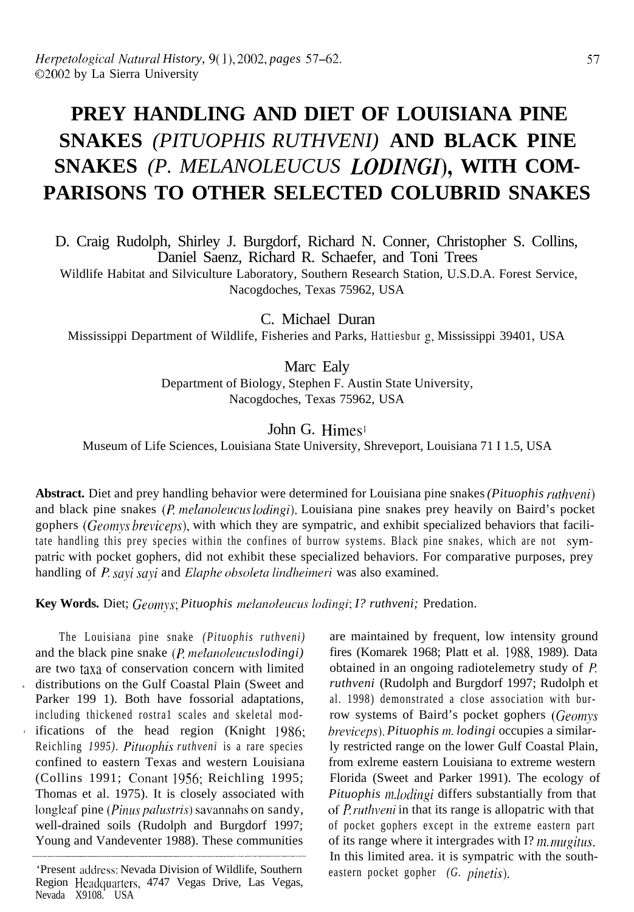# **PREY HANDLING AND DIET OF LOUISIANA PINE SNAKES** *(PITUOPHIS RUTHVENI)* **AND BLACK PINE SNAKES** *(P. MELANOLEUCUS LODINGI),* **WITH COM-PARISONS TO OTHER SELECTED COLUBRID SNAKES**

D. Craig Rudolph, Shirley J. Burgdorf, Richard N. Conner, Christopher S. Collins, Daniel Saenz, Richard R. Schaefer, and Toni Trees

Wildlife Habitat and Silviculture Laboratory, Southern Research Station, U.S.D.A. Forest Service, Nacogdoches, Texas 75962, USA

C. Michael Duran Mississippi Department of Wildlife, Fisheries and Parks, Hattiesbur g, Mississippi 39401, USA

> Marc Ealy Department of Biology, Stephen F. Austin State University, Nacogdoches, Texas 75962, USA

> > John G. Himes!

Museum of Life Sciences, Louisiana State University, Shreveport, Louisiana 71 I 1.5, USA

Abstract. Diet and prey handling behavior were determined for Louisiana pine snakes *(Pituophis ruthveni)* and black pine snakes (P. *melanoleucus lodingi*). Louisiana pine snakes prey heavily on Baird's pocket gophers (Geomys breviceps), with which they are sympatric, and exhibit specialized behaviors that facilitate handling this prey species within the confines of burrow systems. Black pine snakes, which are not sympatric with pocket gophers, did not exhibit these specialized behaviors. For comparative purposes, prey handling of P. *sayi sayi* and *Elaphe obsoleta lindheimeri* was also examined.

Key Words. Diet; *Geomys; Pituophis melanoleucus lodingi; I? ruthveni; Predation.* 

The Louisiana pine snake *(Pituophis ruthveni)* and the black pine snake (*P*, *melanoleucuslodingi*) are two taxa of conservation concern with limited distributions on the Gulf Coastal Plain (Sweet and Parker 199 1). Both have fossorial adaptations, including thickened rostra1 scales and skeletal modifications of the head region (Knight 1986; Reichling *1995). Pituophis ruthveni* is a rare species confined to eastern Texas and western Louisiana (Collins 1991; Conant 1956; Reichling 1995; Thomas et al. 1975). It is closely associated with longleaf pine *(Pinus pdustris)* savannahs on sandy, well-drained soils (Rudolph and Burgdorf 1997; Young and Vandeventer 1988). These communities

are maintained by frequent, low intensity ground fires (Komarek 1968; Platt et al. 1988, 1989). Data obtained in an ongoing radiotelemetry study of  $P$ . *ruthveni* (Rudolph and Burgdorf 1997; Rudolph et al. 1998) demonstrated a close association with burrow systems of Baird's pocket gophers (Geomys *hreviceps*). Pituophis *m. lodingi* occupies a similarly restricted range on the lower Gulf Coastal Plain, from exlreme eastern Louisiana to extreme western Florida (Sweet and Parker 1991). The ecology of *Pituophis m.lodingi* differs substantially from that *of P ruthveni* in that its range is allopatric with that of pocket gophers except in the extreme eastern part of its range where it intergrades with I? *m. mugitus.* In this limited area. it is sympatric with the southeastern pocket gopher *(G. pinetis)*.

<sup>&#</sup>x27;Present address: Nevada Division of Wildlife, Southern Region Headquarters, 4747 Vegas Drive, Las Vegas, Nevada X9108. USA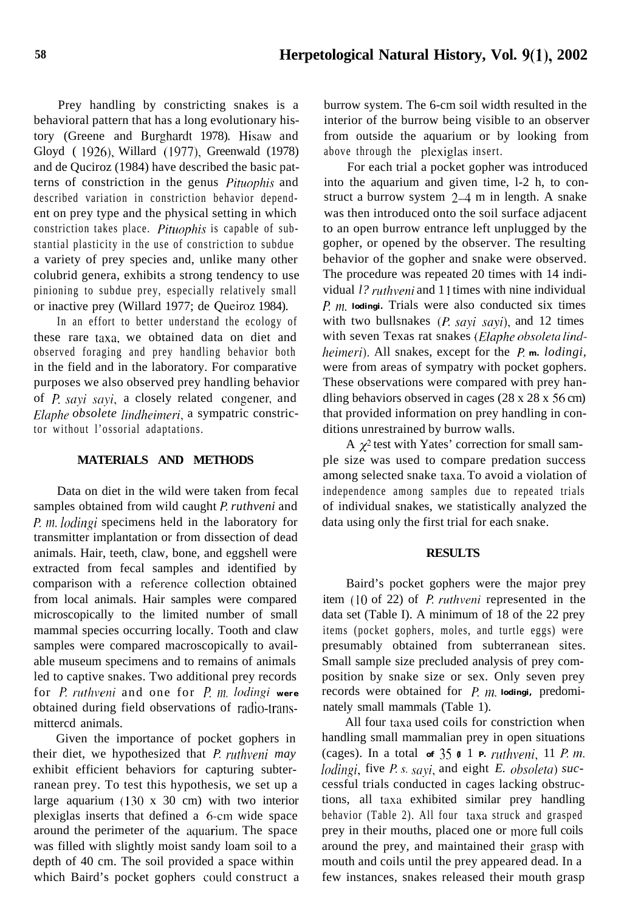Prey handling by constricting snakes is a behavioral pattern that has a long evolutionary history (Greene and Burghardt 1978). Hisaw and Gloyd ( 1926), Willard (1977), Greenwald (1978) and de Quciroz (1984) have described the basic patterns of constriction in the genus *Pituophis* and described variation in constriction behavior dependent on prey type and the physical setting in which constriction takes place. *Pituophis* is capable of substantial plasticity in the use of constriction to subdue a variety of prey species and, unlike many other colubrid genera, exhibits a strong tendency to use pinioning to subdue prey, especially relatively small or inactive prey (Willard 1977; de Queiroz 1984).

In an effort to better understand the ecology of these rare taxa, we obtained data on diet and observed foraging and prey handling behavior both in the field and in the laboratory. For comparative purposes we also observed prey handling behavior of P. *sayi soyi,* a closely related congener, and *Elaphe obsolete lindheimeri*, a sympatric constrictor without l'ossorial adaptations.

### **MATERIALS AND METHODS**

Data on diet in the wild were taken from fecal samples obtained from wild caught P. *ruthveni* and P. *m. lodingi* specimens held in the laboratory for transmitter implantation or from dissection of dead animals. Hair, teeth, claw, bone, and eggshell were extracted from fecal samples and identified by comparison with a reference collection obtained from local animals. Hair samples were compared microscopically to the limited number of small mammal species occurring locally. Tooth and claw samples were compared macroscopically to available museum specimens and to remains of animals led to captive snakes. Two additional prey records for *P. ruthveni* and one for *P. m. lodingi* were obtained during field observations of radio-transmittercd animals.

Given the importance of pocket gophers in their diet, we hypothesized that *P. ruthveni may* exhibit efficient behaviors for capturing subterranean prey. To test this hypothesis, we set up a large aquarium (130 x 30 cm) with two interior plexiglas inserts that defined a  $6$ -cm wide space around the perimeter of the aquarium. The space was filled with slightly moist sandy loam soil to a depth of 40 cm. The soil provided a space within which Baird's pocket gophers could construct a burrow system. The 6-cm soil width resulted in the interior of the burrow being visible to an observer from outside the aquarium or by looking from above through the plexiglas insert.

For each trial a pocket gopher was introduced into the aquarium and given time, l-2 h, to construct a burrow system 2-4 m in length. A snake was then introduced onto the soil surface adjacent to an open burrow entrance left unplugged by the gopher, or opened by the observer. The resulting behavior of the gopher and snake were observed. The procedure was repeated 20 times with 14 individual *l? ruthveni* and 1 1 times with nine individual /? nz. *lodingi.* Trials were also conducted six times with two bullsnakes  $(P. \, sayi \, sayi)$ , and 12 times with seven Texas rat snakes (Elaphe obsoleta lind*heimeri*). All snakes, except for the *P. m. lodingi*, were from areas of sympatry with pocket gophers. These observations were compared with prey handling behaviors observed in cages (28 x 28 x 56 cm) that provided information on prey handling in conditions unrestrained by burrow walls.

A  $\chi^2$  test with Yates' correction for small sample size was used to compare predation success among selected snake taxa. To avoid a violation of independence among samples due to repeated trials of individual snakes, we statistically analyzed the data using only the first trial for each snake.

#### **RESULTS**

Baird's pocket gophers were the major prey item (10 of 22) of *P. ruthveni* represented in the data set (Table I). A minimum of 18 of the 22 prey items (pocket gophers, moles, and turtle eggs) were presumably obtained from subterranean sites. Small sample size precluded analysis of prey composition by snake size or sex. Only seven prey records were obtained for *P. m. lodingi*, predominately small mammals (Table 1).

All four taxa used coils for constriction when handling small mammalian prey in open situations (cages). In a total  $\sigma f$  35  $\sigma$  1 *P. ruthveni*, 11 *P. m. lodingi*, five *P. s. sayi*, and eight *E. obsoleta*) successful trials conducted in cages lacking obstructions, all taxa exhibited similar prey handling behavior (Table 2). All four taxa struck and grasped prey in their mouths, placed one or more full coils around the prey, and maintained their grasp with mouth and coils until the prey appeared dead. In a few instances, snakes released their mouth grasp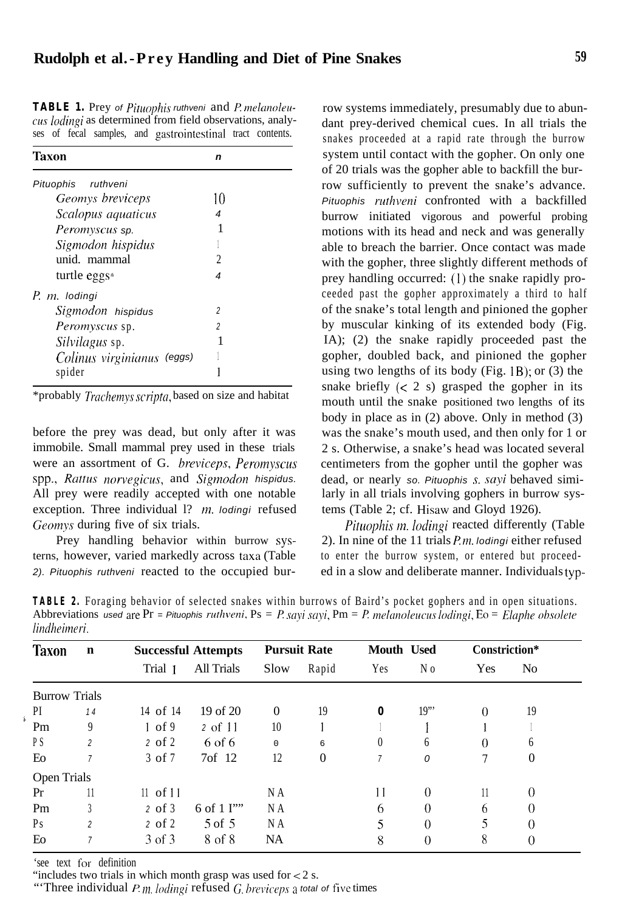## **Rudolph et al.-Prey Handling and Diet of Pine Snakes 59**

TABLE 1. Prey of Pituophis ruthveni and P. melanoleucus *loclingi* as determined from field observations, analyses of fecal samples, and gastrointestinal tract contents.

| Taxon                      | n  |  |  |  |  |  |
|----------------------------|----|--|--|--|--|--|
| Pituophis ruthveni         |    |  |  |  |  |  |
| <i>Geomys breviceps</i>    | 10 |  |  |  |  |  |
| Scalopus aquaticus         | 4  |  |  |  |  |  |
| Peromyscus sp.             | 1  |  |  |  |  |  |
| Sigmodon hispidus          |    |  |  |  |  |  |
| unid. mammal               | 2  |  |  |  |  |  |
| turtle eggs $*$            | 4  |  |  |  |  |  |
| P. m. lodingi              |    |  |  |  |  |  |
| Sigmodon hispidus          | 2  |  |  |  |  |  |
| Peromyscus sp.             | 2  |  |  |  |  |  |
| Silvilagus sp.             |    |  |  |  |  |  |
| Colinus virginianus (eggs) |    |  |  |  |  |  |
| spider                     |    |  |  |  |  |  |

\*probably *Trachemys scripta*, based on size and habitat

before the prey was dead, but only after it was immobile. Small mammal prey used in these trials were an assortment of G. *breviceps*, *Peromyscus* spp., *Rattus norvegicus,* and *Sigmodon hispidus.* All prey were readily accepted with one notable exception. Three individual 1? *m. lodingi* refused Geomys during five of six trials.

Prey handling behavior within burrow systerns, however, varied markedly across taxa (Table *2). Pituophis ruthveni* reacted to the occupied bur-

row systems immediately, presumably due to abundant prey-derived chemical cues. In all trials the snakes proceeded at a rapid rate through the burrow system until contact with the gopher. On only one of 20 trials was the gopher able to backfill the burrow sufficiently to prevent the snake's advance. *Pituophis ruthwni* confronted with a backfilled burrow initiated vigorous and powerful probing motions with its head and neck and was generally able to breach the barrier. Once contact was made with the gopher, three slightly different methods of prey handling occurred: (I) the snake rapidly proceeded past the gopher approximately a third to half of the snake's total length and pinioned the gopher by muscular kinking of its extended body (Fig. IA); (2) the snake rapidly proceeded past the gopher, doubled back, and pinioned the gopher using two lengths of its body (Fig.  $|B\rangle$ ; or (3) the snake briefly  $(< 2 s)$  grasped the gopher in its mouth until the snake positioned two lengths of its body in place as in (2) above. Only in method (3) was the snake's mouth used, and then only for 1 or 2 s. Otherwise, a snake's head was located several centimeters from the gopher until the gopher was dead, or nearly *so. Pituophis* s. sayi behaved similarly in all trials involving gophers in burrow systems (Table 2; cf. Hisaw and Gloyd 1926).

*Pituophis m. lodingi* reacted differently (Table 2). In nine of the 11 trials *P.m. lodingi* either refused to enter the burrow system, or entered but proceeded in a slow and deliberate manner. Individuals typ-

**TABLE 2.** Foraging behavior of selected snakes within burrows of Baird's pocket gophers and in open situations. Abbreviations *used* are Pr = Pituophis ruthveni, Ps = P. sayi sayi, Pm = P. melanoleucus lodingi, Eo = Elaphe obsolete  $lindheimeri.$ 

| <b>Taxon</b>         | $\mathbf n$    | <b>Successful Attempts</b> |                    | <b>Pursuit Rate</b> |          | <b>Mouth Used</b> |                | Constriction* |                |
|----------------------|----------------|----------------------------|--------------------|---------------------|----------|-------------------|----------------|---------------|----------------|
|                      |                | Trial 1                    | <b>All Trials</b>  | Slow                | Rapid    | Yes               | N <sub>0</sub> | Yes           | N <sub>0</sub> |
| <b>Burrow Trials</b> |                |                            |                    |                     |          |                   |                |               |                |
| PI                   | 14             | 14 of 14                   | 19 of 20           | $\Omega$            | 19       | 0                 | 19"            | $\Omega$      | 19             |
| Pm                   | 9              | log 9                      | 2 of 11            | 10                  |          |                   |                |               |                |
| P <sub>S</sub>       | $\overline{c}$ | $2$ of $2$                 | 6 of 6             | $\Omega$            | 6        | $\left( \right)$  | 6              | $\theta$      | 6              |
| Eo                   | 7              | $3$ of $7$                 | 7 <sub>of</sub> 12 | 12                  | $\Omega$ | 7                 | 0              | 7             | $\theta$       |
| <b>Open Trials</b>   |                |                            |                    |                     |          |                   |                |               |                |
| Pr                   | 11             | $11$ of $11$               |                    | N A                 |          | 11                | $\Omega$       | 11            | $\Omega$       |
| Pm                   | 3              | $2$ of $3$                 | 6 of 1 I""         | N A                 |          | 6                 | $\Omega$       | 6             | $\Omega$       |
| Ps                   | $\overline{c}$ | $2 \text{ of } 2$          | $5$ of $5$         | N A                 |          | 5                 | $\Omega$       | 5             | $\Omega$       |
| Eo                   | 7              | 3 of 3                     | 8 of 8             | NA                  |          | 8                 | $\Omega$       | 8             | $\Omega$       |

'see text for definition

"includes two trials in which month grasp was used for  $< 2$  s.

"Three individual *P. m. lodingi* refused *G*, *breviceps a total of five times*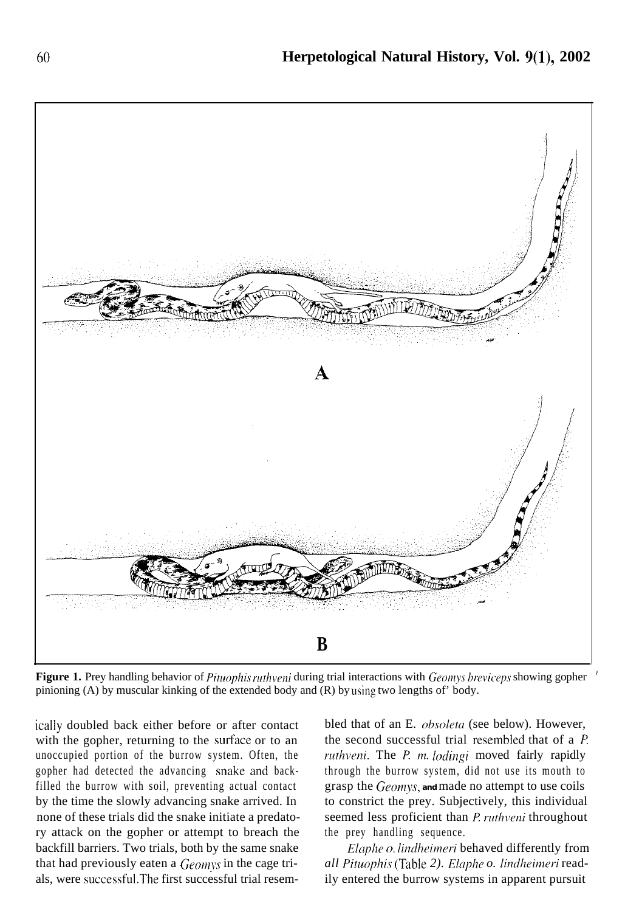

**Figure 1.** Prey handling behavior of Pituophis ruthveni during trial interactions with Geomys breviceps showing gopher pinioning (A) by muscular kinking of the extended body and (R) by using two lengths of' body.

ically doubled back either before or after contact with the gopher, returning to the surface or to an unoccupied portion of the burrow system. Often, the gopher had detected the advancing snake and backfilled the burrow with soil, preventing actual contact by the time the slowly advancing snake arrived. In none of these trials did the snake initiate a predatory attack on the gopher or attempt to breach the backfill barriers. Two trials, both by the same snake that had previously eaten a *Geomys* in the cage trials, were **successfd.** The first successful trial resem-

bled that of an E. *obsoleta* (see below). However, the second successful trial resembled that of a *. ruthveni.* The *P. m. lodingi* moved fairly rapidly through the burrow system, did not use its mouth to grasp the Geomys, and made no attempt to use coils to constrict the prey. Subjectively, this individual seemed less proficient than *P. ruthveni* throughout the prey handling sequence.

*Elaphe o. lindheimeri* behaved differently from *all Pituophis* (Table 2). *Elaphe o. lindheimeri* readily entered the burrow systems in apparent pursuit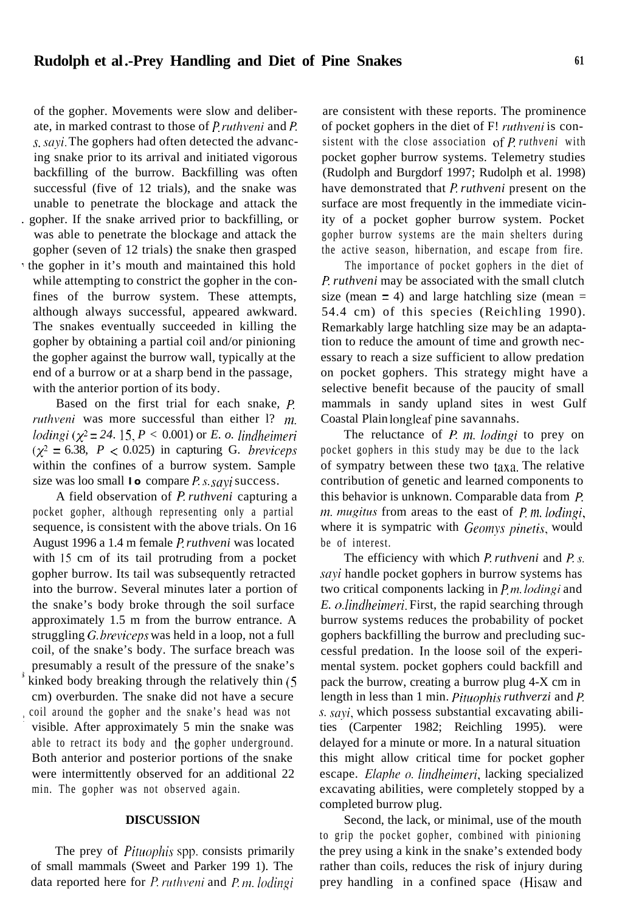#### **Rudolph et al.-Prey Handling and Diet of Pine Snakes <sup>61</sup>**

of the gopher. Movements were slow and deliberate, in marked contrast to those of *P*. *ruthveni* and *P*.  $s$ , sayi. The gophers had often detected the advancing snake prior to its arrival and initiated vigorous backfilling of the burrow. Backfilling was often successful (five of 12 trials), and the snake was unable to penetrate the blockage and attack the . gopher. If the snake arrived prior to backfilling, or was able to penetrate the blockage and attack the gopher (seven of 12 trials) the snake then grasped the gopher in it's mouth and maintained this hold while attempting to constrict the gopher in the confines of the burrow system. These attempts, although always successful, appeared awkward. The snakes eventually succeeded in killing the gopher by obtaining a partial coil and/or pinioning the gopher against the burrow wall, typically at the end of a burrow or at a sharp bend in the passage, with the anterior portion of its body.

Based on the first trial for each snake, P. ruthveni was more successful than either  $1$ ?  $m$ . *lodingi* ( $\chi^2$  = 24. 15, *P* < 0.001) or *E. o. lindheimeri*  $(\chi^2 = 6.38, P < 0.025)$  in capturing G. breviceps within the confines of a burrow system. Sample size was loo small **lo** compare *P. s. sayi* success.

A field observation of *f? ruthveni* capturing a pocket gopher, although representing only a partial sequence, is consistent with the above trials. On 16 August 1996 a 1.4 m female *P ruthveni* was located with 15 cm of its tail protruding from a pocket gopher burrow. Its tail was subsequently retracted into the burrow. Several minutes later a portion of the snake's body broke through the soil surface approximately 1.5 m from the burrow entrance. A struggling *G. breviceps* was held in a loop, not a full coil, of the snake's body. The surface breach was presumably a result of the pressure of the snake's kinked body breaking through the relatively thin (5)

cm) overburden. The snake did not have a secure 1 coil around the gopher and the snake's head was not visible. After approximately 5 min the snake was able to retract its body and the gopher underground. Both anterior and posterior portions of the snake were intermittently observed for an additional 22 min. The gopher was not observed again.

#### **DISCUSSION**

The prey of *Pituophis* spp. consists primarily of small mammals (Sweet and Parker 199 1). The data reported here for *P. ruthveni* and *P. m. lodingi* 

are consistent with these reports. The prominence of pocket gophers in the diet of F! *ruthveni* is consistent with the close association of P ruthveni with pocket gopher burrow systems. Telemetry studies (Rudolph and Burgdorf 1997; Rudolph et al. 1998) have demonstrated that *P. ruthveni* present on the surface are most frequently in the immediate vicinity of a pocket gopher burrow system. Pocket gopher burrow systems are the main shelters during the active season, hibernation, and escape from fire.

The importance of pocket gophers in the diet of */? ruthveni* may be associated with the small clutch size (mean  $= 4$ ) and large hatchling size (mean  $=$ 54.4 cm) of this species (Reichling 1990). Remarkably large hatchling size may be an adaptation to reduce the amount of time and growth necessary to reach a size sufficient to allow predation on pocket gophers. This strategy might have a selective benefit because of the paucity of small mammals in sandy upland sites in west Gulf Coastal Plain longleaf pine savannahs.

The reluctance of  $P$ .  $m$ . *lodingi* to prey on pocket gophers in this study may be due to the lack of sympatry between these two taxa. The relative contribution of genetic and learned components to this behavior is unknown. Comparable data from  $P$ . *m. mugitus* from areas to the east of *P. m. lodingi*, where it is sympatric with *Geomys pinetis*, would be of interest.

The efficiency with which *P. ruthveni* and *P. s. sqi* handle pocket gophers in burrow systems has two critical components lacking in  $P_m$ . *lodingi* and *E. o. lindheinreri.* First, the rapid searching through burrow systems reduces the probability of pocket gophers backfilling the burrow and precluding successful predation. In the loose soil of the experimental system. pocket gophers could backfill and pack the burrow, creating a burrow plug 4-X cm in length in less than 1 min. *Pituophis ruthverzi* and *P*. s. sayi, which possess substantial excavating abilities (Carpenter 1982; Reichling 1995). were delayed for a minute or more. In a natural situation this might allow critical time for pocket gopher escape. *Elqhe o. lirdheirneri,* lacking specialized excavating abilities, were completely stopped by a completed burrow plug.

Second, the lack, or minimal, use of the mouth to grip the pocket gopher, combined with pinioning the prey using a kink in the snake's extended body rather than coils, reduces the risk of injury during prey handling in a confined space (Hisaw and